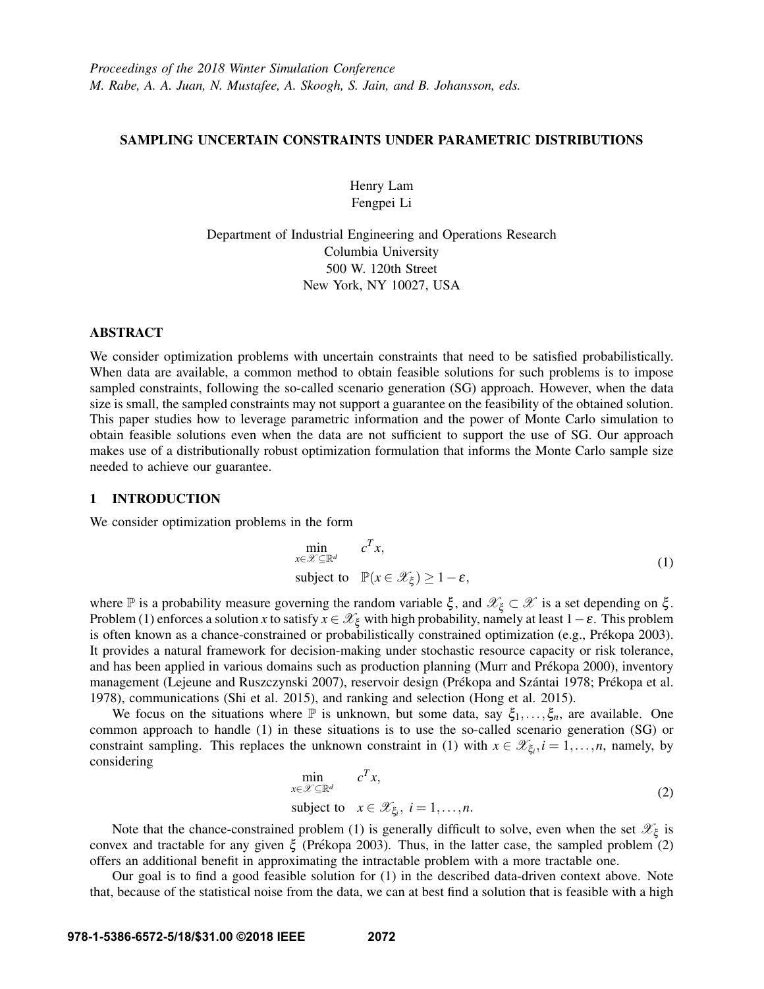## SAMPLING UNCERTAIN CONSTRAINTS UNDER PARAMETRIC DISTRIBUTIONS

Henry Lam Fengpei Li

Department of Industrial Engineering and Operations Research Columbia University 500 W. 120th Street New York, NY 10027, USA

#### ABSTRACT

We consider optimization problems with uncertain constraints that need to be satisfied probabilistically. When data are available, a common method to obtain feasible solutions for such problems is to impose sampled constraints, following the so-called scenario generation (SG) approach. However, when the data size is small, the sampled constraints may not support a guarantee on the feasibility of the obtained solution. This paper studies how to leverage parametric information and the power of Monte Carlo simulation to obtain feasible solutions even when the data are not sufficient to support the use of SG. Our approach makes use of a distributionally robust optimization formulation that informs the Monte Carlo sample size needed to achieve our guarantee.

### 1 INTRODUCTION

We consider optimization problems in the form

$$
\min_{x \in \mathcal{X} \subseteq \mathbb{R}^d} c^T x,
$$
\n
$$
\text{subject to } \mathbb{P}(x \in \mathcal{X}_{\xi}) \ge 1 - \varepsilon,
$$
\n
$$
(1)
$$

where P is a probability measure governing the random variable  $\xi$ , and  $\mathscr{X}_{\xi} \subset \mathscr{X}$  is a set depending on  $\xi$ . Problem (1) enforces a solution *x* to satisfy  $x \in \mathscr{X}_\xi$  with high probability, namely at least  $1-\varepsilon$ . This problem is often known as a chance-constrained or probabilistically constrained optimization (e.g., Prékopa 2003). It provides a natural framework for decision-making under stochastic resource capacity or risk tolerance, and has been applied in various domains such as production planning (Murr and Prékopa 2000), inventory management (Lejeune and Ruszczynski 2007), reservoir design (Prékopa and Szántai 1978; Prékopa et al. 1978), communications (Shi et al. 2015), and ranking and selection (Hong et al. 2015).

We focus on the situations where  $\mathbb P$  is unknown, but some data, say  $\xi_1,\ldots,\xi_n$ , are available. One common approach to handle (1) in these situations is to use the so-called scenario generation (SG) or constraint sampling. This replaces the unknown constraint in (1) with  $x \in \mathcal{X}_{\xi_i}, i = 1, \ldots, n$ , namely, by considering

$$
\min_{x \in \mathcal{X} \subseteq \mathbb{R}^d} c^T x,
$$
\nsubject to  $x \in \mathcal{X}_{\xi_i}, i = 1, ..., n.$ \n
$$
(2)
$$

Note that the chance-constrained problem (1) is generally difficult to solve, even when the set  $\mathscr{X}_{\xi}$  is convex and tractable for any given  $\xi$  (Prékopa 2003). Thus, in the latter case, the sampled problem (2) offers an additional benefit in approximating the intractable problem with a more tractable one.

Our goal is to find a good feasible solution for (1) in the described data-driven context above. Note that, because of the statistical noise from the data, we can at best find a solution that is feasible with a high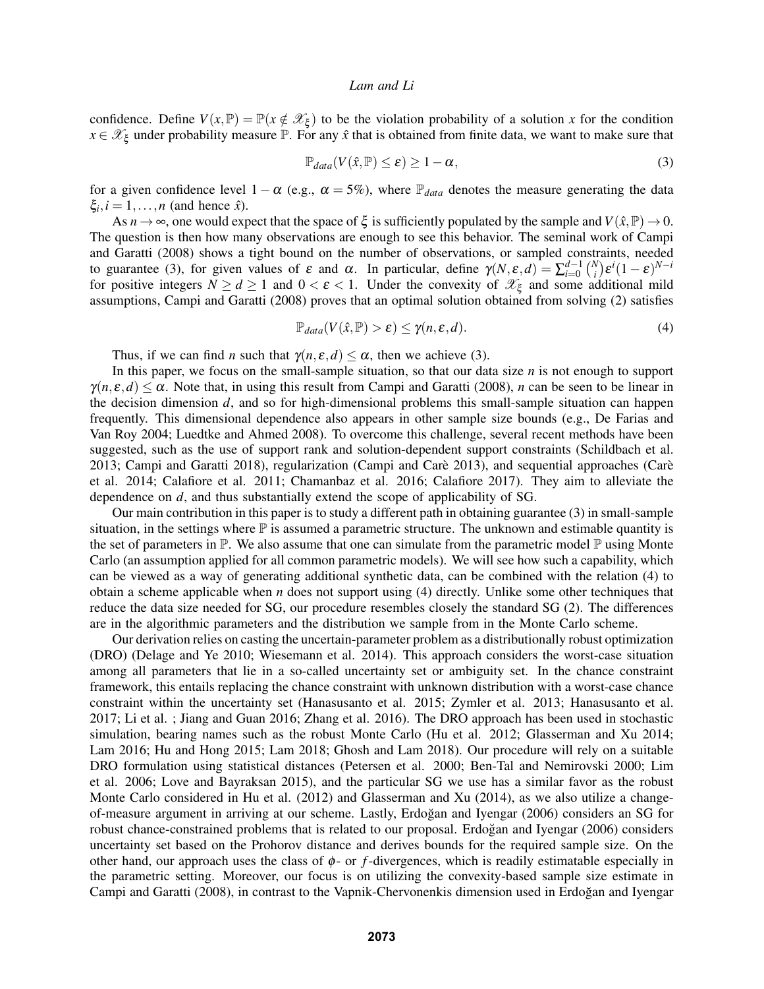confidence. Define  $V(x, \mathbb{P}) = \mathbb{P}(x \notin \mathcal{X}_{\xi})$  to be the violation probability of a solution *x* for the condition  $x \in \mathcal{X}_{\xi}$  under probability measure  $\mathbb{P}$ . For any  $\hat{x}$  that is obtained from finite data, we want to make sure that

$$
\mathbb{P}_{data}(V(\hat{x}, \mathbb{P}) \le \varepsilon) \ge 1 - \alpha, \tag{3}
$$

for a given confidence level  $1-\alpha$  (e.g.,  $\alpha = 5\%$ ), where  $\mathbb{P}_{data}$  denotes the measure generating the data  $\xi_i, i = 1, \ldots, n$  (and hence  $\hat{x}$ ).

As  $n \to \infty$ , one would expect that the space of  $\xi$  is sufficiently populated by the sample and  $V(\hat{x}, \mathbb{P}) \to 0$ . The question is then how many observations are enough to see this behavior. The seminal work of Campi and Garatti (2008) shows a tight bound on the number of observations, or sampled constraints, needed to guarantee (3), for given values of  $\varepsilon$  and  $\alpha$ . In particular, define  $\gamma(N, \varepsilon, d) = \sum_{i=0}^{d-1} {N \choose i}$  $\int_i^{\mathsf{V}} \left( \mathsf{E}^{i} (1-\varepsilon)^{N-i} \right)$ for positive integers  $N \ge d \ge 1$  and  $0 < \varepsilon < 1$ . Under the convexity of  $\mathcal{X}_{\xi}$  and some additional mild assumptions, Campi and Garatti (2008) proves that an optimal solution obtained from solving (2) satisfies

$$
\mathbb{P}_{data}(V(\hat{x}, \mathbb{P}) > \varepsilon) \le \gamma(n, \varepsilon, d). \tag{4}
$$

Thus, if we can find *n* such that  $\gamma(n, \varepsilon, d) \leq \alpha$ , then we achieve (3).

In this paper, we focus on the small-sample situation, so that our data size *n* is not enough to support  $\gamma(n, \varepsilon, d) \leq \alpha$ . Note that, in using this result from Campi and Garatti (2008), *n* can be seen to be linear in the decision dimension *d*, and so for high-dimensional problems this small-sample situation can happen frequently. This dimensional dependence also appears in other sample size bounds (e.g., De Farias and Van Roy 2004; Luedtke and Ahmed 2008). To overcome this challenge, several recent methods have been suggested, such as the use of support rank and solution-dependent support constraints (Schildbach et al. 2013; Campi and Garatti 2018), regularization (Campi and Care 2013), and sequential approaches (Care` et al. 2014; Calafiore et al. 2011; Chamanbaz et al. 2016; Calafiore 2017). They aim to alleviate the dependence on *d*, and thus substantially extend the scope of applicability of SG.

Our main contribution in this paper is to study a different path in obtaining guarantee (3) in small-sample situation, in the settings where  $\mathbb P$  is assumed a parametric structure. The unknown and estimable quantity is the set of parameters in  $\mathbb P$ . We also assume that one can simulate from the parametric model  $\mathbb P$  using Monte Carlo (an assumption applied for all common parametric models). We will see how such a capability, which can be viewed as a way of generating additional synthetic data, can be combined with the relation (4) to obtain a scheme applicable when *n* does not support using (4) directly. Unlike some other techniques that reduce the data size needed for SG, our procedure resembles closely the standard SG (2). The differences are in the algorithmic parameters and the distribution we sample from in the Monte Carlo scheme.

Our derivation relies on casting the uncertain-parameter problem as a distributionally robust optimization (DRO) (Delage and Ye 2010; Wiesemann et al. 2014). This approach considers the worst-case situation among all parameters that lie in a so-called uncertainty set or ambiguity set. In the chance constraint framework, this entails replacing the chance constraint with unknown distribution with a worst-case chance constraint within the uncertainty set (Hanasusanto et al. 2015; Zymler et al. 2013; Hanasusanto et al. 2017; Li et al. ; Jiang and Guan 2016; Zhang et al. 2016). The DRO approach has been used in stochastic simulation, bearing names such as the robust Monte Carlo (Hu et al. 2012; Glasserman and Xu 2014; Lam 2016; Hu and Hong 2015; Lam 2018; Ghosh and Lam 2018). Our procedure will rely on a suitable DRO formulation using statistical distances (Petersen et al. 2000; Ben-Tal and Nemirovski 2000; Lim et al. 2006; Love and Bayraksan 2015), and the particular SG we use has a similar favor as the robust Monte Carlo considered in Hu et al. (2012) and Glasserman and Xu (2014), as we also utilize a changeof-measure argument in arriving at our scheme. Lastly, Erdoğan and Iyengar (2006) considers an SG for robust chance-constrained problems that is related to our proposal. Erdoğan and Iyengar (2006) considers uncertainty set based on the Prohorov distance and derives bounds for the required sample size. On the other hand, our approach uses the class of  $\phi$ - or *f*-divergences, which is readily estimatable especially in the parametric setting. Moreover, our focus is on utilizing the convexity-based sample size estimate in Campi and Garatti (2008), in contrast to the Vapnik-Chervonenkis dimension used in Erdogan and Iyengar ˘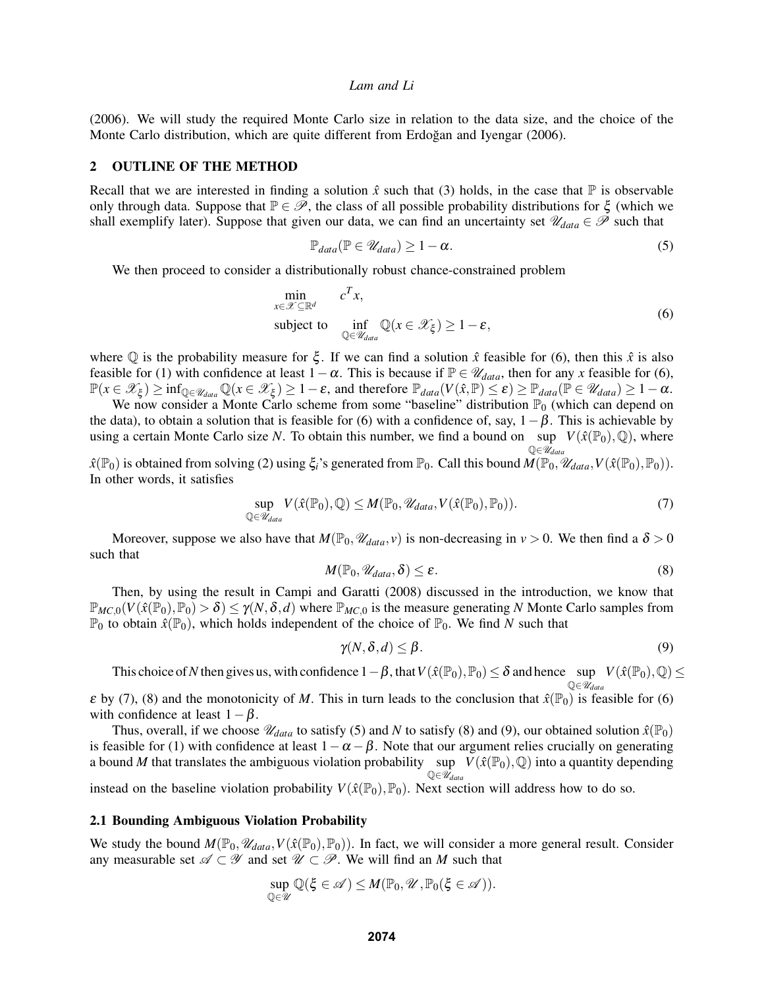(2006). We will study the required Monte Carlo size in relation to the data size, and the choice of the Monte Carlo distribution, which are quite different from Erdoğan and Iyengar (2006).

#### 2 OUTLINE OF THE METHOD

Recall that we are interested in finding a solution  $\hat{x}$  such that (3) holds, in the case that  $\mathbb P$  is observable only through data. Suppose that  $\mathbb{P} \in \mathscr{P}$ , the class of all possible probability distributions for  $\xi$  (which we shall exemplify later). Suppose that given our data, we can find an uncertainty set  $\mathscr{U}_{data} \in \mathscr{P}$  such that

$$
\mathbb{P}_{data}(\mathbb{P} \in \mathscr{U}_{data}) \ge 1 - \alpha. \tag{5}
$$

We then proceed to consider a distributionally robust chance-constrained problem

$$
\min_{x \in \mathcal{X} \subseteq \mathbb{R}^d} c^T x,
$$
\n
$$
\text{subject to} \quad \inf_{\mathbb{Q} \in \mathcal{U}_{data}} \mathbb{Q}(x \in \mathcal{X}_{\xi}) \ge 1 - \varepsilon,
$$
\n
$$
(6)
$$

where  $\mathbb Q$  is the probability measure for  $\xi$ . If we can find a solution  $\hat x$  feasible for (6), then this  $\hat x$  is also feasible for (1) with confidence at least  $1-\alpha$ . This is because if  $\mathbb{P} \in \mathcal{U}_{data}$ , then for any *x* feasible for (6),  $\mathbb{P}(x \in \mathscr{X}_{\xi}) \ge \inf_{\mathbb{Q} \in \mathscr{U}_{data}} \mathbb{Q}(x \in \mathscr{X}_{\xi}) \ge 1 - \varepsilon$ , and therefore  $\mathbb{P}_{data}(V(\hat{x}, \mathbb{P}) \le \varepsilon) \ge \mathbb{P}_{data}(\mathbb{P} \in \mathscr{U}_{data}) \ge 1 - \alpha$ .

We now consider a Monte Carlo scheme from some "baseline" distribution  $\mathbb{P}_0$  (which can depend on the data), to obtain a solution that is feasible for (6) with a confidence of, say,  $1-\beta$ . This is achievable by using a certain Monte Carlo size *N*. To obtain this number, we find a bound on sup  $V(\hat{x}(\mathbb{P}_0),\mathbb{Q})$ , where  $\mathbb{Q} \in \mathcal{U}_{data}$ 

 $\hat{x}(\mathbb{P}_0)$  is obtained from solving (2) using  $\xi_i$ 's generated from  $\mathbb{P}_0$ . Call this bound  $\hat{M}(\mathbb{P}_0, \mathcal{U}_{data}, V(\hat{x}(\mathbb{P}_0), \mathbb{P}_0)).$ In other words, it satisfies

$$
\sup_{\mathbb{Q}\in\mathscr{U}_{data}} V(\hat{x}(\mathbb{P}_0), \mathbb{Q}) \le M(\mathbb{P}_0, \mathscr{U}_{data}, V(\hat{x}(\mathbb{P}_0), \mathbb{P}_0)).
$$
\n(7)

Moreover, suppose we also have that  $M(\mathbb{P}_0, \mathcal{U}_{data}, v)$  is non-decreasing in  $v > 0$ . We then find a  $\delta > 0$ such that

$$
M(\mathbb{P}_0, \mathcal{U}_{data}, \delta) \le \varepsilon. \tag{8}
$$

Then, by using the result in Campi and Garatti (2008) discussed in the introduction, we know that  $\mathbb{P}_{MC,0}(V(\hat{x}(\mathbb{P}_0),\mathbb{P}_0) > \delta) \leq \gamma(N,\delta,d)$  where  $\mathbb{P}_{MC,0}$  is the measure generating *N* Monte Carlo samples from  $\mathbb{P}_0$  to obtain  $\hat{x}(\mathbb{P}_0)$ , which holds independent of the choice of  $\mathbb{P}_0$ . We find *N* such that

$$
\gamma(N,\delta,d) \le \beta. \tag{9}
$$

This choice of N then gives us, with confidence  $1-\beta$ , that  $V(\hat{x}(\mathbb{P}_0), \mathbb{P}_0) \leq \delta$  and hence sup  $V(\hat{x}(\mathbb{P}_0), \mathbb{Q}) \leq \delta$  $\mathbb{Q} \in \bar{\mathscr{U}}_{data}$ 

 $\varepsilon$  by (7), (8) and the monotonicity of *M*. This in turn leads to the conclusion that  $\hat{x}(\mathbb{P}_0)$  is feasible for (6) with confidence at least  $1-\beta$ .

Thus, overall, if we choose  $\mathcal{U}_{data}$  to satisfy (5) and *N* to satisfy (8) and (9), our obtained solution  $\hat{x}(\mathbb{P}_0)$ is feasible for (1) with confidence at least  $1-\alpha-\beta$ . Note that our argument relies crucially on generating a bound M that translates the ambiguous violation probability sup  $V(\hat{x}(\mathbb{P}_0),\mathbb{Q})$  into a quantity depending Q∈U*data*

instead on the baseline violation probability  $V(\hat{x}(\mathbb{P}_0), \mathbb{P}_0)$ . Next section will address how to do so.

#### 2.1 Bounding Ambiguous Violation Probability

We study the bound  $M(\mathbb{P}_0, \mathcal{U}_{data}, V(\hat{x}(\mathbb{P}_0), \mathbb{P}_0))$ . In fact, we will consider a more general result. Consider any measurable set  $\mathscr{A} \subset \mathscr{Y}$  and set  $\mathscr{U} \subset \mathscr{P}$ . We will find an *M* such that

$$
\sup_{\mathbb{Q}\in\mathscr{U}}\mathbb{Q}(\xi\in\mathscr{A})\leq M(\mathbb{P}_0,\mathscr{U},\mathbb{P}_0(\xi\in\mathscr{A})).
$$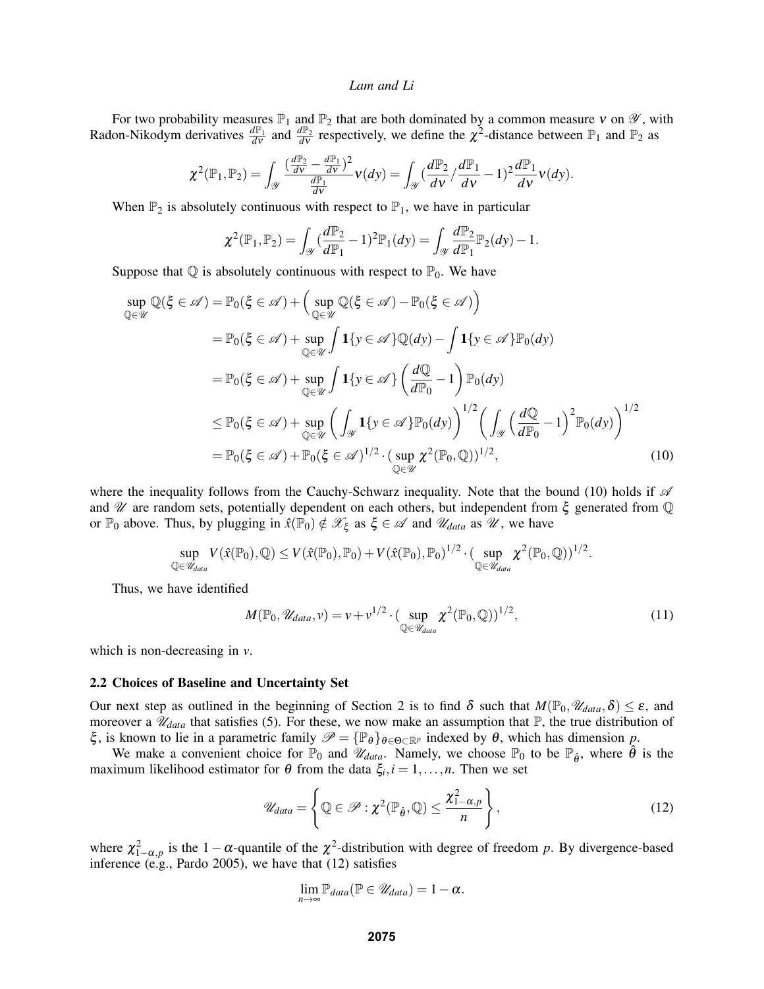For two probability measures  $\mathbb{P}_1$  and  $\mathbb{P}_2$  that are both dominated by a common measure v on  $\mathscr{Y}$ , with Radon-Nikodym derivatives  $\frac{d\mathbb{P}_1}{dv}$  and  $\frac{d\mathbb{P}_2}{dv}$  respectively, we define the  $\chi^2$ -distance between  $\mathbb{P}_1$  and  $\mathbb{P}_2$  as

$$
\chi^2(\mathbb{P}_1, \mathbb{P}_2) = \int_{\mathscr{Y}} \frac{(\frac{d\mathbb{P}_2}{dv} - \frac{d\mathbb{P}_1}{dv})^2}{\frac{d\mathbb{P}_1}{dv}} \nu(dy) = \int_{\mathscr{Y}} (\frac{d\mathbb{P}_2}{dv} - \frac{d\mathbb{P}_1}{dv} - 1)^2 \frac{d\mathbb{P}_1}{dv} \nu(dy).
$$

When  $\mathbb{P}_2$  is absolutely continuous with respect to  $\mathbb{P}_1$ , we have in particular

$$
\chi^2(\mathbb{P}_1, \mathbb{P}_2) = \int_{\mathscr{Y}} \left(\frac{d\mathbb{P}_2}{d\mathbb{P}_1} - 1\right)^2 \mathbb{P}_1(dy) = \int_{\mathscr{Y}} \frac{d\mathbb{P}_2}{d\mathbb{P}_1} \mathbb{P}_2(dy) - 1.
$$

Suppose that  $\mathbb Q$  is absolutely continuous with respect to  $\mathbb P_0$ . We have

$$
\sup_{\mathbb{Q}\in\mathcal{U}}\mathbb{Q}(\xi \in \mathscr{A}) = \mathbb{P}_0(\xi \in \mathscr{A}) + \left(\sup_{\mathbb{Q}\in\mathcal{U}}\mathbb{Q}(\xi \in \mathscr{A}) - \mathbb{P}_0(\xi \in \mathscr{A})\right)
$$
  
\n
$$
= \mathbb{P}_0(\xi \in \mathscr{A}) + \sup_{\mathbb{Q}\in\mathscr{U}}\int \mathbf{1}\{y \in \mathscr{A}\}\mathbb{Q}(dy) - \int \mathbf{1}\{y \in \mathscr{A}\}\mathbb{P}_0(dy)
$$
  
\n
$$
= \mathbb{P}_0(\xi \in \mathscr{A}) + \sup_{\mathbb{Q}\in\mathscr{U}}\int \mathbf{1}\{y \in \mathscr{A}\}\left(\frac{d\mathbb{Q}}{d\mathbb{P}_0} - 1\right)\mathbb{P}_0(dy)
$$
  
\n
$$
\leq \mathbb{P}_0(\xi \in \mathscr{A}) + \sup_{\mathbb{Q}\in\mathscr{U}}\left(\int_{\mathscr{Y}}\mathbf{1}\{y \in \mathscr{A}\}\mathbb{P}_0(dy)\right)^{1/2}\left(\int_{\mathscr{Y}}\left(\frac{d\mathbb{Q}}{d\mathbb{P}_0} - 1\right)^2\mathbb{P}_0(dy)\right)^{1/2}
$$
  
\n
$$
= \mathbb{P}_0(\xi \in \mathscr{A}) + \mathbb{P}_0(\xi \in \mathscr{A})^{1/2} \cdot \left(\sup_{\mathbb{Q}\in\mathscr{U}}\chi^2(\mathbb{P}_0, \mathbb{Q})\right)^{1/2}, \tag{10}
$$

where the inequality follows from the Cauchy-Schwarz inequality. Note that the bound (10) holds if  $\mathscr A$ and  $\mathcal U$  are random sets, potentially dependent on each others, but independent from  $\xi$  generated from  $\mathbb Q$ or  $\mathbb{P}_0$  above. Thus, by plugging in  $\hat{x}(\mathbb{P}_0) \notin \mathcal{X}_{\xi}$  as  $\xi \in \mathcal{A}$  and  $\mathcal{U}_{data}$  as  $\mathcal{U}$ , we have

$$
\sup_{\mathbb{Q}\in\mathscr{U}_{data}}V(\hat{x}(\mathbb{P}_0),\mathbb{Q})\leq V(\hat{x}(\mathbb{P}_0),\mathbb{P}_0)+V(\hat{x}(\mathbb{P}_0),\mathbb{P}_0)^{1/2}\cdot(\sup_{\mathbb{Q}\in\mathscr{U}_{data}}\chi^2(\mathbb{P}_0,\mathbb{Q}))^{1/2}.
$$

Thus, we have identified

$$
M(\mathbb{P}_0, \mathcal{U}_{data}, \nu) = \nu + \nu^{1/2} \cdot (\sup_{\mathbb{Q} \in \mathcal{U}_{data}} \chi^2(\mathbb{P}_0, \mathbb{Q}))^{1/2}, \tag{11}
$$

which is non-decreasing in *v*.

#### 2.2 Choices of Baseline and Uncertainty Set

Our next step as outlined in the beginning of Section 2 is to find  $\delta$  such that  $M(\mathbb{P}_0, \mathcal{U}_{data}, \delta) \leq \varepsilon$ , and moreover a  $\mathcal{U}_{data}$  that satisfies (5). For these, we now make an assumption that  $\mathbb{P}$ , the true distribution of ξ, is known to lie in a parametric family  $\mathscr{P} = {\mathbb{P}_\theta}_{\theta \in \Theta \subset \mathbb{R}^p}$  indexed by  $\theta$ , which has dimension *p*.

We make a convenient choice for  $\mathbb{P}_0$  and  $\mathcal{U}_{data}$ . Namely, we choose  $\mathbb{P}_0$  to be  $\mathbb{P}_{\hat{\theta}}$ , where  $\hat{\theta}$  is the maximum likelihood estimator for  $\theta$  from the data  $\xi_i$ ,  $i = 1, \ldots, n$ . Then we set

$$
\mathscr{U}_{data} = \left\{ \mathbb{Q} \in \mathscr{P} : \chi^2(\mathbb{P}_{\hat{\theta}}, \mathbb{Q}) \le \frac{\chi^2_{1-\alpha, p}}{n} \right\},\tag{12}
$$

where  $\chi^2_{1-\alpha,p}$  is the 1 -  $\alpha$ -quantile of the  $\chi^2$ -distribution with degree of freedom *p*. By divergence-based inference (e.g., Pardo 2005), we have that (12) satisfies

$$
\lim_{n\to\infty}\mathbb{P}_{data}(\mathbb{P}\in\mathscr{U}_{data})=1-\alpha.
$$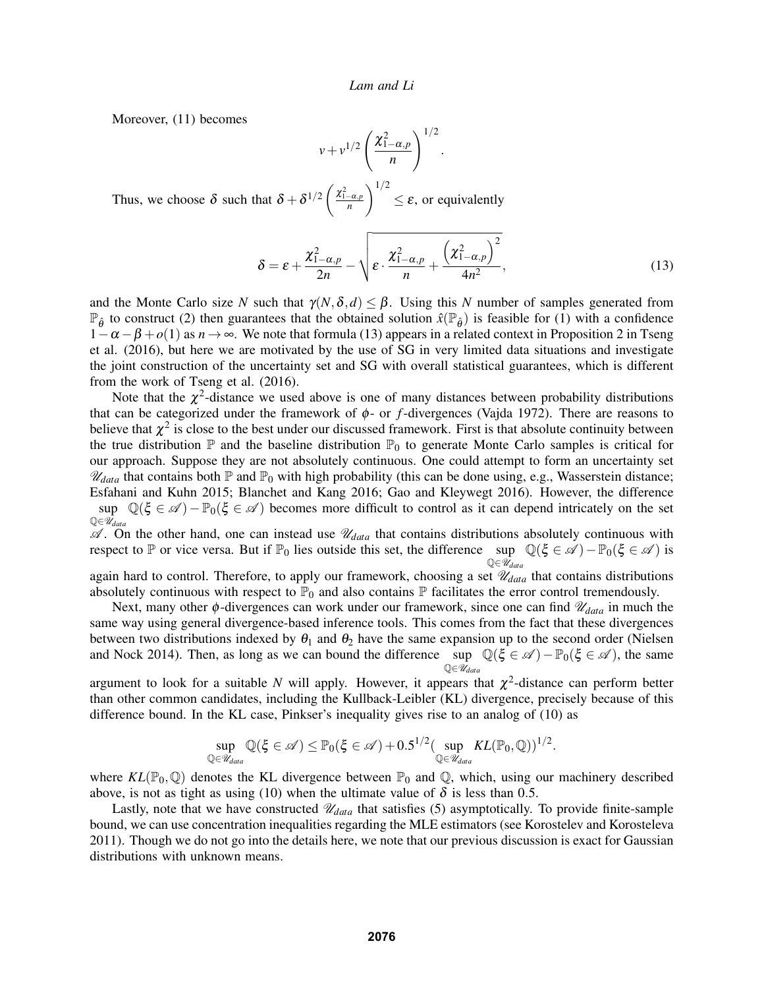Moreover, (11) becomes

$$
v + v^{1/2} \left(\frac{\chi^2_{1-\alpha,p}}{n}\right)^{1/2}.
$$

Thus, we choose  $\delta$  such that  $\delta + \delta^{1/2} \left( \frac{\chi^2_{1-\alpha,p}}{n} \right)$  $\setminus$ <sup>1/2</sup>  $\leq \varepsilon$ , or equivalently

$$
\delta = \varepsilon + \frac{\chi^2_{1-\alpha,p}}{2n} - \sqrt{\varepsilon \cdot \frac{\chi^2_{1-\alpha,p}}{n} + \frac{\left(\chi^2_{1-\alpha,p}\right)^2}{4n^2}},\tag{13}
$$

and the Monte Carlo size *N* such that  $\gamma(N,\delta,d) \leq \beta$ . Using this *N* number of samples generated from  $\mathbb{P}_{\hat{\theta}}$  to construct (2) then guarantees that the obtained solution  $\hat{x}(\mathbb{P}_{\hat{\theta}})$  is feasible for (1) with a confidence  $1-\alpha-\beta+o(1)$  as  $n\to\infty$ . We note that formula (13) appears in a related context in Proposition 2 in Tseng et al. (2016), but here we are motivated by the use of SG in very limited data situations and investigate the joint construction of the uncertainty set and SG with overall statistical guarantees, which is different from the work of Tseng et al. (2016).

Note that the  $\chi^2$ -distance we used above is one of many distances between probability distributions that can be categorized under the framework of φ- or *f*-divergences (Vajda 1972). There are reasons to believe that  $\chi^2$  is close to the best under our discussed framework. First is that absolute continuity between the true distribution  $\mathbb P$  and the baseline distribution  $\mathbb P_0$  to generate Monte Carlo samples is critical for our approach. Suppose they are not absolutely continuous. One could attempt to form an uncertainty set  $\mathcal{U}_{data}$  that contains both  $\mathbb P$  and  $\mathbb P_0$  with high probability (this can be done using, e.g., Wasserstein distance; Esfahani and Kuhn 2015; Blanchet and Kang 2016; Gao and Kleywegt 2016). However, the difference sup  $\mathbb{Q}(\xi \in \mathscr{A}) - \mathbb{P}_0(\xi \in \mathscr{A})$  becomes more difficult to control as it can depend intricately on the set Q∈U*data*

 $\mathscr A$ . On the other hand, one can instead use  $\mathscr U_{data}$  that contains distributions absolutely continuous with respect to P or vice versa. But if  $\mathbb{P}_0$  lies outside this set, the difference sup  $\mathbb{Q}(\xi \in \mathscr{A}) - \mathbb{P}_0(\xi \in \mathscr{A})$  is  $\mathbb{Q} \in \mathcal{U}_{data}$ 

again hard to control. Therefore, to apply our framework, choosing a set  $\mathcal{U}_{data}$  that contains distributions absolutely continuous with respect to  $\mathbb{P}_0$  and also contains  $\mathbb P$  facilitates the error control tremendously.

Next, many other  $\phi$ -divergences can work under our framework, since one can find  $\mathcal{U}_{data}$  in much the same way using general divergence-based inference tools. This comes from the fact that these divergences between two distributions indexed by  $\theta_1$  and  $\theta_2$  have the same expansion up to the second order (Nielsen and Nock 2014). Then, as long as we can bound the difference sup  $\mathbb{Q}(\xi \in \mathcal{A}) - \mathbb{P}_0(\xi \in \mathcal{A})$ , the same Q∈U*data*

argument to look for a suitable *N* will apply. However, it appears that  $\chi^2$ -distance can perform better than other common candidates, including the Kullback-Leibler (KL) divergence, precisely because of this difference bound. In the KL case, Pinkser's inequality gives rise to an analog of (10) as

$$
\sup_{\mathbb{Q}\in\mathscr{U}_{data}}\mathbb{Q}(\xi\in\mathscr{A})\leq \mathbb{P}_0(\xi\in\mathscr{A})+0.5^{1/2}(\sup_{\mathbb{Q}\in\mathscr{U}_{data}}KL(\mathbb{P}_0,\mathbb{Q}))^{1/2}.
$$

where  $KL(\mathbb{P}_0, \mathbb{Q})$  denotes the KL divergence between  $\mathbb{P}_0$  and  $\mathbb{Q}$ , which, using our machinery described above, is not as tight as using (10) when the ultimate value of  $\delta$  is less than 0.5.

Lastly, note that we have constructed  $\mathcal{U}_{data}$  that satisfies (5) asymptotically. To provide finite-sample bound, we can use concentration inequalities regarding the MLE estimators (see Korostelev and Korosteleva 2011). Though we do not go into the details here, we note that our previous discussion is exact for Gaussian distributions with unknown means.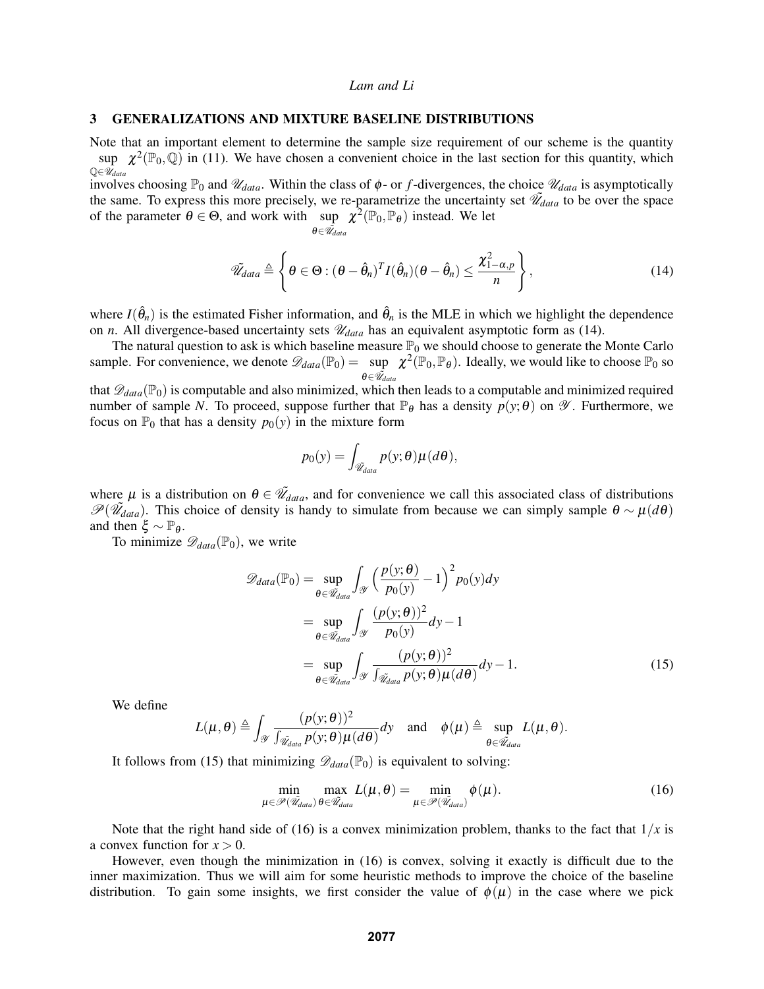#### 3 GENERALIZATIONS AND MIXTURE BASELINE DISTRIBUTIONS

Note that an important element to determine the sample size requirement of our scheme is the quantity sup  $\chi^2(\mathbb{P}_0,\mathbb{Q})$  in (11). We have chosen a convenient choice in the last section for this quantity, which  $\mathbb{Q} \in \overline{\mathcal{U}}_{data}$ 

involves choosing  $\mathbb{P}_0$  and  $\mathcal{U}_{data}$ . Within the class of  $\phi$ - or *f*-divergences, the choice  $\mathcal{U}_{data}$  is asymptotically the same. To express this more precisely, we re-parametrize the uncertainty set  $\tilde{\mathcal{U}}_{data}$  to be over the space of the parameter  $\theta \in \Theta$ , and work with sup  $\chi^2(\mathbb{P}_0, \mathbb{P}_\theta)$  instead. We let

$$
\theta{\in}\tilde{\mathscr U}_{data}
$$

$$
\tilde{\mathscr{U}}_{data} \triangleq \left\{ \theta \in \Theta : (\theta - \hat{\theta}_n)^T I(\hat{\theta}_n) (\theta - \hat{\theta}_n) \leq \frac{\chi_{1-\alpha,p}^2}{n} \right\},\tag{14}
$$

where  $I(\hat{\theta}_n)$  is the estimated Fisher information, and  $\hat{\theta}_n$  is the MLE in which we highlight the dependence on *n*. All divergence-based uncertainty sets  $\mathcal{U}_{data}$  has an equivalent asymptotic form as (14).

The natural question to ask is which baseline measure  $\mathbb{P}_0$  we should choose to generate the Monte Carlo sample. For convenience, we denote  $\mathscr{D}_{data}(\mathbb{P}_0) = \sup \chi^2(\mathbb{P}_0, \mathbb{P}_0)$ . Ideally, we would like to choose  $\mathbb{P}_0$  so *θ∈* $\widetilde{\mathcal{U}}_{data}$ <br>that  $\mathscr{D}_{data}(\mathbb{P}_0)$  is computable and also minimized, which then leads to a computable and minimized required

number of sample *N*. To proceed, suppose further that  $\mathbb{P}_{\theta}$  has a density  $p(y; \theta)$  on  $\mathscr{Y}$ . Furthermore, we focus on  $\mathbb{P}_0$  that has a density  $p_0(y)$  in the mixture form

$$
p_0(y) = \int_{\tilde{\mathscr{U}}_{data}} p(y; \theta) \mu(d\theta),
$$

where  $\mu$  is a distribution on  $\theta \in \tilde{Z}_{data}$ , and for convenience we call this associated class of distributions  $\mathscr{P}(\tilde{\mathscr{U}}_{data})$ . This choice of density is handy to simulate from because we can simply sample  $\theta \sim \mu(d\theta)$ and then  $\xi \sim \mathbb{P}_{\theta}$ .

To minimize  $\mathscr{D}_{data}(\mathbb{P}_0)$ , we write

$$
\mathscr{D}_{data}(\mathbb{P}_{0}) = \sup_{\theta \in \mathscr{U}_{data}} \int_{\mathscr{Y}} \left(\frac{p(y;\theta)}{p_{0}(y)} - 1\right)^{2} p_{0}(y) dy
$$

$$
= \sup_{\theta \in \mathscr{U}_{data}} \int_{\mathscr{Y}} \frac{(p(y;\theta))^{2}}{p_{0}(y)} dy - 1
$$

$$
= \sup_{\theta \in \mathscr{U}_{data}} \int_{\mathscr{Y}} \frac{(p(y;\theta))^{2}}{\int_{\mathscr{U}_{data}} p(y;\theta) \mu(d\theta)} dy - 1.
$$
(15)

We define

$$
L(\mu,\theta) \triangleq \int_{\mathscr{Y}} \frac{(p(y;\theta))^2}{\int_{\widetilde{\mathscr{U}}_{data}} p(y;\theta) \mu(d\theta)} dy \quad \text{and} \quad \phi(\mu) \triangleq \sup_{\theta \in \widetilde{\mathscr{U}}_{data}} L(\mu,\theta).
$$

It follows from (15) that minimizing  $\mathscr{D}_{data}(\mathbb{P}_{0})$  is equivalent to solving:

$$
\min_{\mu \in \mathcal{P}(\tilde{\mathcal{U}}_{data})} \max_{\theta \in \tilde{\mathcal{U}}_{data}} L(\mu, \theta) = \min_{\mu \in \mathcal{P}(\tilde{\mathcal{U}}_{data})} \phi(\mu). \tag{16}
$$

Note that the right hand side of (16) is a convex minimization problem, thanks to the fact that  $1/x$  is a convex function for  $x > 0$ .

However, even though the minimization in (16) is convex, solving it exactly is difficult due to the inner maximization. Thus we will aim for some heuristic methods to improve the choice of the baseline distribution. To gain some insights, we first consider the value of  $\phi(\mu)$  in the case where we pick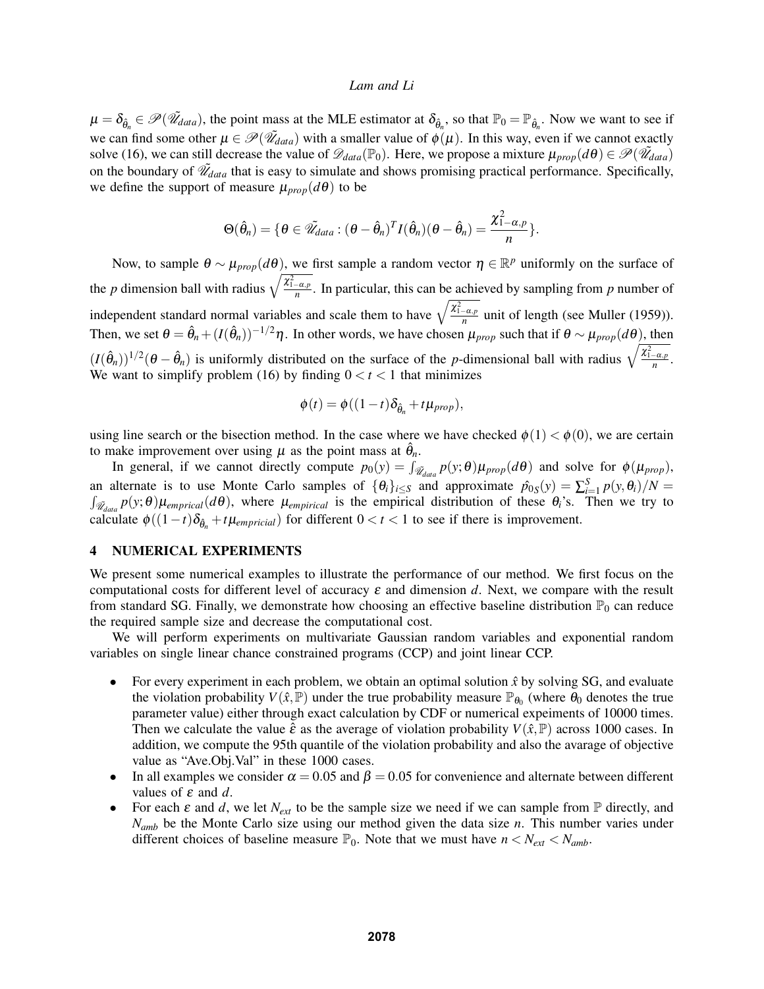$\mu = \delta_{\hat{\theta}_n} \in \mathscr{P}(\tilde{\mathscr{U}}_{data})$ , the point mass at the MLE estimator at  $\delta_{\hat{\theta}_n}$ , so that  $\mathbb{P}_0 = \mathbb{P}_{\hat{\theta}_n}$ . Now we want to see if we can find some other  $\mu \in \mathcal{P}(\tilde{\mathcal{U}}_{data})$  with a smaller value of  $\phi(\mu)$ . In this way, even if we cannot exactly solve (16), we can still decrease the value of  $\mathscr{D}_{data}(\mathbb{P}_0)$ . Here, we propose a mixture  $\mu_{prop}(d\theta) \in \mathscr{P}(\tilde{\mathscr{U}}_{data})$ on the boundary of  $\tilde{\mathcal{U}}_{data}$  that is easy to simulate and shows promising practical performance. Specifically, we define the support of measure  $\mu_{prop}(d\theta)$  to be

$$
\Theta(\hat{\theta}_n) = \{ \theta \in \tilde{\mathscr{U}}_{data} : (\theta - \hat{\theta}_n)^T I(\hat{\theta}_n) (\theta - \hat{\theta}_n) = \frac{\chi^2_{1-\alpha,p}}{n} \}.
$$

Now, to sample  $\theta \sim \mu_{prop}(d\theta)$ , we first sample a random vector  $\eta \in \mathbb{R}^p$  uniformly on the surface of the *p* dimension ball with radius  $\sqrt{\frac{\chi^2_{1-\alpha,p}}{n}}$ . In particular, this can be achieved by sampling from *p* number of independent standard normal variables and scale them to have  $\sqrt{\frac{\chi^2_{1-\alpha,p}}{n}}$  unit of length (see Muller (1959)). Then, we set  $\theta = \hat{\theta}_n + (I(\hat{\theta}_n))^{-1/2}\eta$ . In other words, we have chosen  $\mu_{prop}$  such that if  $\theta \sim \mu_{prop}(d\theta)$ , then  $(I(\hat{\theta}_n))^{1/2}$  ( $\theta - \hat{\theta}_n$ ) is uniformly distributed on the surface of the *p*-dimensional ball with radius  $\sqrt{\frac{\chi^2_{1-\alpha,p}}{n}}$ . We want to simplify problem (16) by finding  $0 < t < 1$  that minimizes

$$
\phi(t) = \phi((1-t)\delta_{\hat{\theta}_n} + t\mu_{prop}),
$$

using line search or the bisection method. In the case where we have checked  $\phi(1) < \phi(0)$ , we are certain to make improvement over using  $\mu$  as the point mass at  $\hat{\theta}_n$ .

In general, if we cannot directly compute  $p_0(y) = \int_{\tilde{\mathcal{U}}_{data}} p(y; \theta) \mu_{prop}(d\theta)$  and solve for  $\phi(\mu_{prop})$ , an alternate is to use Monte Carlo samples of  $\{\theta_i\}_{i\leq S}$  and approximate  $\hat{p}_{0S}(y) = \sum_{i=1}^{S} p(y, \theta_i)/N =$  $\int_{\tilde{\mathcal{U}}_{data}} p(y; \theta) \mu_{emprical}(d\theta)$ , where  $\mu_{empirical}$  is the empirical distribution of these  $\theta_i$ 's. Then we try to calculate  $\phi((1-t)\delta_{\hat{\theta}_n}+t\mu_{empirical})$  for different  $0 < t < 1$  to see if there is improvement.

### 4 NUMERICAL EXPERIMENTS

We present some numerical examples to illustrate the performance of our method. We first focus on the computational costs for different level of accuracy  $\varepsilon$  and dimension *d*. Next, we compare with the result from standard SG. Finally, we demonstrate how choosing an effective baseline distribution  $\mathbb{P}_0$  can reduce the required sample size and decrease the computational cost.

We will perform experiments on multivariate Gaussian random variables and exponential random variables on single linear chance constrained programs (CCP) and joint linear CCP.

- For every experiment in each problem, we obtain an optimal solution  $\hat{x}$  by solving SG, and evaluate the violation probability  $V(\hat{x}, \hat{P})$  under the true probability measure  $\mathbb{P}_{\theta_0}$  (where  $\theta_0$  denotes the true parameter value) either through exact calculation by CDF or numerical expeiments of 10000 times. Then we calculate the value  $\hat{\epsilon}$  as the average of violation probability  $V(\hat{x}, \mathbb{P})$  across 1000 cases. In addition, we compute the 95th quantile of the violation probability and also the avarage of objective value as "Ave.Obj.Val" in these 1000 cases.
- In all examples we consider  $\alpha = 0.05$  and  $\beta = 0.05$  for convenience and alternate between different values of ε and *d*.
- For each  $\varepsilon$  and  $d$ , we let  $N_{ext}$  to be the sample size we need if we can sample from  $\mathbb P$  directly, and *Namb* be the Monte Carlo size using our method given the data size *n*. This number varies under different choices of baseline measure  $\mathbb{P}_0$ . Note that we must have  $n < N_{ext} < N_{amb}$ .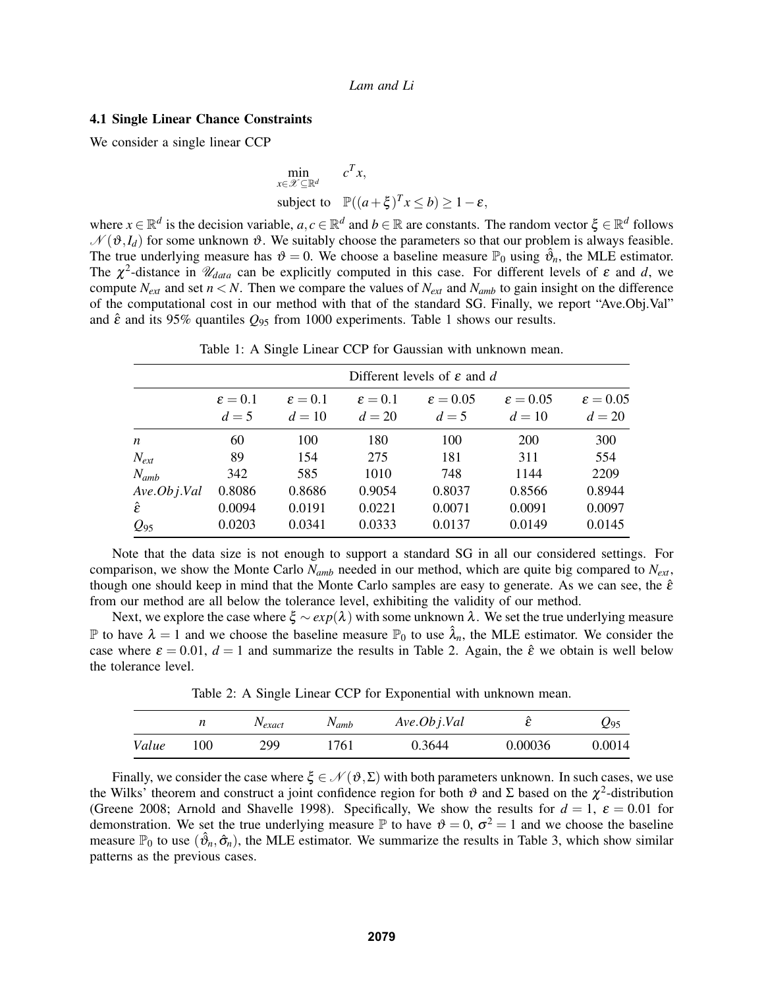#### 4.1 Single Linear Chance Constraints

We consider a single linear CCP

$$
\min_{x \in \mathcal{X} \subseteq \mathbb{R}^d} c^T x,
$$
\n
$$
\text{subject to } \mathbb{P}((a+\xi)^T x \le b) \ge 1-\varepsilon,
$$

where  $x \in \mathbb{R}^d$  is the decision variable,  $a, c \in \mathbb{R}^d$  and  $b \in \mathbb{R}$  are constants. The random vector  $\xi \in \mathbb{R}^d$  follows  $\mathcal{N}(\vartheta, I_d)$  for some unknown  $\vartheta$ . We suitably choose the parameters so that our problem is always feasible. The true underlying measure has  $\vartheta = 0$ . We choose a baseline measure  $\mathbb{P}_0$  using  $\hat{\vartheta}_n$ , the MLE estimator. The  $\chi^2$ -distance in  $\mathcal{U}_{data}$  can be explicitly computed in this case. For different levels of  $\varepsilon$  and  $d$ , we compute  $N_{ext}$  and set  $n < N$ . Then we compare the values of  $N_{ext}$  and  $N_{amb}$  to gain insight on the difference of the computational cost in our method with that of the standard SG. Finally, we report "Ave.Obj.Val" and  $\hat{\epsilon}$  and its 95% quantiles  $Q_{95}$  from 1000 experiments. Table 1 shows our results.

|               | Different levels of $\varepsilon$ and d |                            |                            |                            |                             |                             |  |
|---------------|-----------------------------------------|----------------------------|----------------------------|----------------------------|-----------------------------|-----------------------------|--|
|               | $\varepsilon = 0.1$<br>$d=5$            | $\epsilon = 0.1$<br>$d=10$ | $\epsilon = 0.1$<br>$d=20$ | $\epsilon = 0.05$<br>$d=5$ | $\epsilon = 0.05$<br>$d=10$ | $\epsilon = 0.05$<br>$d=20$ |  |
| n             | 60                                      | 100                        | 180                        | 100                        | <b>200</b>                  | 300                         |  |
| $N_{ext}$     | 89                                      | 154                        | 275                        | 181                        | 311                         | 554                         |  |
| $N_{amb}$     | 342                                     | 585                        | 1010                       | 748                        | 1144                        | 2209                        |  |
| Ave. Obj. Val | 0.8086                                  | 0.8686                     | 0.9054                     | 0.8037                     | 0.8566                      | 0.8944                      |  |
| Ê             | 0.0094                                  | 0.0191                     | 0.0221                     | 0.0071                     | 0.0091                      | 0.0097                      |  |
| $Q_{95}$      | 0.0203                                  | 0.0341                     | 0.0333                     | 0.0137                     | 0.0149                      | 0.0145                      |  |

Table 1: A Single Linear CCP for Gaussian with unknown mean.

Note that the data size is not enough to support a standard SG in all our considered settings. For comparison, we show the Monte Carlo *Namb* needed in our method, which are quite big compared to *Next*, though one should keep in mind that the Monte Carlo samples are easy to generate. As we can see, the  $\hat{\varepsilon}$ from our method are all below the tolerance level, exhibiting the validity of our method.

Next, we explore the case where ξ ~ *exp*(λ) with some unknown λ. We set the true underlying measure P to have  $\lambda = 1$  and we choose the baseline measure  $\mathbb{P}_0$  to use  $\hat{\lambda}_n$ , the MLE estimator. We consider the case where  $\varepsilon = 0.01$ ,  $d = 1$  and summarize the results in Table 2. Again, the  $\hat{\varepsilon}$  we obtain is well below the tolerance level.

Table 2: A Single Linear CCP for Exponential with unknown mean.

|       |     | $N_{exact}$ | $N_{amb}$ | Ave. Obj. Val |         | Z95    |
|-------|-----|-------------|-----------|---------------|---------|--------|
| Value | 100 | 299         | 1761      | 0.3644        | 0.00036 | 0.0014 |

Finally, we consider the case where  $\xi \in \mathcal{N}(\vartheta, \Sigma)$  with both parameters unknown. In such cases, we use the Wilks' theorem and construct a joint confidence region for both  $\vartheta$  and  $\Sigma$  based on the  $\chi^2$ -distribution (Greene 2008; Arnold and Shavelle 1998). Specifically, We show the results for  $d = 1$ ,  $\varepsilon = 0.01$  for demonstration. We set the true underlying measure  $\mathbb P$  to have  $\vartheta = 0$ ,  $\sigma^2 = 1$  and we choose the baseline measure  $\mathbb{P}_0$  to use  $(\hat{\vartheta}_n, \hat{\sigma}_n)$ , the MLE estimator. We summarize the results in Table 3, which show similar patterns as the previous cases.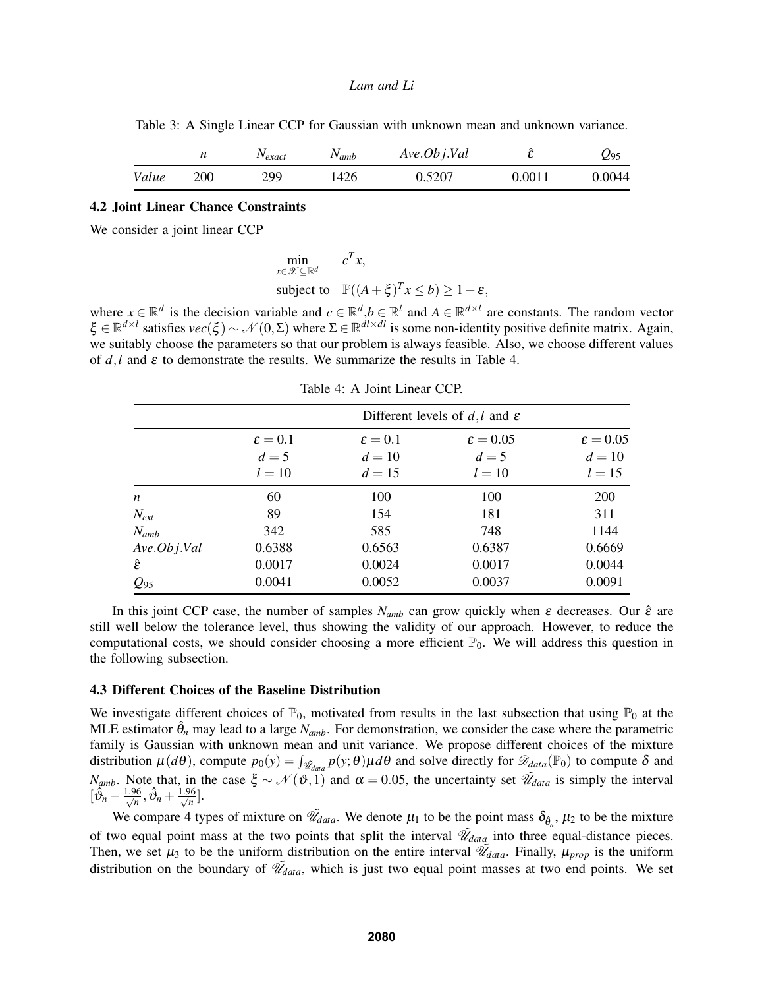Table 3: A Single Linear CCP for Gaussian with unknown mean and unknown variance.

|       |     | $1$ <sup>V</sup> exact | $\mathbf{v}_{amb}$ | Ave. Obj. Val |            | Ψ95    |
|-------|-----|------------------------|--------------------|---------------|------------|--------|
| Value | 200 | 299                    | '426               | 0.5207        | $0.0011\,$ | 0.0044 |

#### 4.2 Joint Linear Chance Constraints

We consider a joint linear CCP

min *x*∈X ⊆R*<sup>d</sup>*  $c^T x$ , subject to  $\mathbb{P}((A+\xi)^{T}x \leq b) \geq 1-\varepsilon$ ,

where  $x \in \mathbb{R}^d$  is the decision variable and  $c \in \mathbb{R}^d$ ,  $b \in \mathbb{R}^l$  and  $A \in \mathbb{R}^{d \times l}$  are constants. The random vector  $\zeta \in \mathbb{R}^{d \times l}$  satisfies  $\text{vec}(\xi) \sim \mathcal{N}(0, \Sigma)$  where  $\Sigma \in \mathbb{R}^{d \times d}$  is some non-identity positive definite matrix. Again, we suitably choose the parameters so that our problem is always feasible. Also, we choose different values of  $d, l$  and  $\varepsilon$  to demonstrate the results. We summarize the results in Table 4.

|               | Different levels of d, l and $\varepsilon$                                        |        |        |            |  |  |  |
|---------------|-----------------------------------------------------------------------------------|--------|--------|------------|--|--|--|
|               | $\varepsilon = 0.05$<br>$\epsilon = 0.05$<br>$\epsilon = 0.1$<br>$\epsilon = 0.1$ |        |        |            |  |  |  |
|               | $d=5$                                                                             | $d=10$ | $d=5$  | $d=10$     |  |  |  |
|               | $l=10$                                                                            | $d=15$ | $l=10$ | $l = 15$   |  |  |  |
| n             | 60                                                                                | 100    | 100    | <b>200</b> |  |  |  |
| $N_{ext}$     | 89                                                                                | 154    | 181    | 311        |  |  |  |
| $N_{amb}$     | 342                                                                               | 585    | 748    | 1144       |  |  |  |
| Ave. Obj. Val | 0.6388                                                                            | 0.6563 | 0.6387 | 0.6669     |  |  |  |
| Ê             | 0.0017                                                                            | 0.0024 | 0.0017 | 0.0044     |  |  |  |
| $Q_{95}$      | 0.0041                                                                            | 0.0052 | 0.0037 | 0.0091     |  |  |  |

Table 4: A Joint Linear CCP.

In this joint CCP case, the number of samples  $N_{amb}$  can grow quickly when  $\varepsilon$  decreases. Our  $\hat{\varepsilon}$  are still well below the tolerance level, thus showing the validity of our approach. However, to reduce the computational costs, we should consider choosing a more efficient  $\mathbb{P}_0$ . We will address this question in the following subsection.

### 4.3 Different Choices of the Baseline Distribution

We investigate different choices of  $\mathbb{P}_0$ , motivated from results in the last subsection that using  $\mathbb{P}_0$  at the MLE estimator  $\hat{\theta}_n$  may lead to a large  $N_{amb}$ . For demonstration, we consider the case where the parametric family is Gaussian with unknown mean and unit variance. We propose different choices of the mixture distribution  $\mu(d\theta)$ , compute  $p_0(y) = \int_{\tilde{\mathcal{U}}_{data}} p(y; \theta) \mu d\theta$  and solve directly for  $\mathcal{D}_{data}(\mathbb{P}_0)$  to compute  $\delta$  and *N<sub>amb</sub>*. Note that, in the case  $\xi \sim \mathcal{N}(\vartheta, 1)$  and  $\alpha = 0.05$ , the uncertainty set  $\widetilde{\mathcal{U}}_{data}$  is simply the interval  $\big[\hat{\vartheta}_n - \frac{1.96}{\sqrt{n}}, \hat{\vartheta}_n + \frac{1.96}{\sqrt{n}}\big].$ 

We compare 4 types of mixture on  $\tilde{\mathcal{U}}_{data}$ . We denote  $\mu_1$  to be the point mass  $\delta_{\hat{\theta}_n}$ ,  $\mu_2$  to be the mixture of two equal point mass at the two points that split the interval  $\tilde{\mathcal{U}}_{data}$  into three equal-distance pieces. Then, we set  $\mu_3$  to be the uniform distribution on the entire interval  $\tilde{\mathscr{U}}_{data}$ . Finally,  $\mu_{prop}$  is the uniform distribution on the boundary of  $\tilde{\mathcal{U}}_{data}$ , which is just two equal point masses at two end points. We set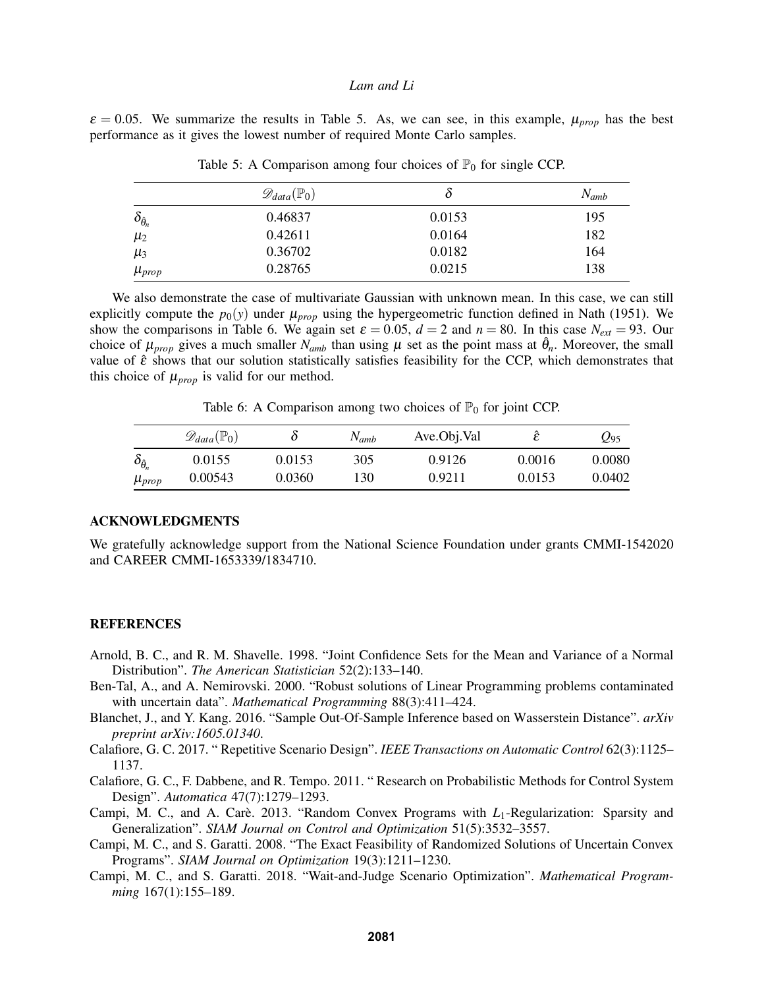$\varepsilon = 0.05$ . We summarize the results in Table 5. As, we can see, in this example,  $\mu_{prop}$  has the best performance as it gives the lowest number of required Monte Carlo samples.

|                           | $\mathscr{D}_{data}(\mathbb{P}_0)$ | Ò      | $N_{amb}$ |
|---------------------------|------------------------------------|--------|-----------|
| $\delta_{\hat{\theta}_n}$ | 0.46837                            | 0.0153 | 195       |
| $\mu_2$                   | 0.42611                            | 0.0164 | 182       |
| $\mu_3$                   | 0.36702                            | 0.0182 | 164       |
| $\mu_{prop}$              | 0.28765                            | 0.0215 | 138       |

Table 5: A Comparison among four choices of  $\mathbb{P}_0$  for single CCP.

We also demonstrate the case of multivariate Gaussian with unknown mean. In this case, we can still explicitly compute the  $p_0(y)$  under  $\mu_{prop}$  using the hypergeometric function defined in Nath (1951). We show the comparisons in Table 6. We again set  $\varepsilon = 0.05$ ,  $d = 2$  and  $n = 80$ . In this case  $N_{ext} = 93$ . Our choice of  $\mu_{prop}$  gives a much smaller  $N_{amb}$  than using  $\mu$  set as the point mass at  $\hat{\theta}_n$ . Moreover, the small value of  $\hat{\epsilon}$  shows that our solution statistically satisfies feasibility for the CCP, which demonstrates that this choice of  $\mu_{prop}$  is valid for our method.

Table 6: A Comparison among two choices of  $\mathbb{P}_0$  for joint CCP.

|                      | $\mathscr{D}_{data}(\mathbb{P}_0)$ |        | $N_{amb}$ | Ave.Obj.Val | ĉ<br>ັ | 295    |
|----------------------|------------------------------------|--------|-----------|-------------|--------|--------|
| $o_{\hat{\theta}_n}$ | 0.0155                             | 0.0153 | 305       | 0.9126      | 0.0016 | 0.0080 |
| $\mu_{prop}$         | 0.00543                            | 0.0360 | 130       | 0.9211      | 0.0153 | 0.0402 |

#### ACKNOWLEDGMENTS

We gratefully acknowledge support from the National Science Foundation under grants CMMI-1542020 and CAREER CMMI-1653339/1834710.

#### REFERENCES

- Arnold, B. C., and R. M. Shavelle. 1998. "Joint Confidence Sets for the Mean and Variance of a Normal Distribution". *The American Statistician* 52(2):133–140.
- Ben-Tal, A., and A. Nemirovski. 2000. "Robust solutions of Linear Programming problems contaminated with uncertain data". *Mathematical Programming* 88(3):411–424.
- Blanchet, J., and Y. Kang. 2016. "Sample Out-Of-Sample Inference based on Wasserstein Distance". *arXiv preprint arXiv:1605.01340*.
- Calafiore, G. C. 2017. " Repetitive Scenario Design". *IEEE Transactions on Automatic Control* 62(3):1125– 1137.
- Calafiore, G. C., F. Dabbene, and R. Tempo. 2011. " Research on Probabilistic Methods for Control System Design". *Automatica* 47(7):1279–1293.
- Campi, M. C., and A. Carè. 2013. "Random Convex Programs with L<sub>1</sub>-Regularization: Sparsity and Generalization". *SIAM Journal on Control and Optimization* 51(5):3532–3557.
- Campi, M. C., and S. Garatti. 2008. "The Exact Feasibility of Randomized Solutions of Uncertain Convex Programs". *SIAM Journal on Optimization* 19(3):1211–1230.
- Campi, M. C., and S. Garatti. 2018. "Wait-and-Judge Scenario Optimization". *Mathematical Programming* 167(1):155–189.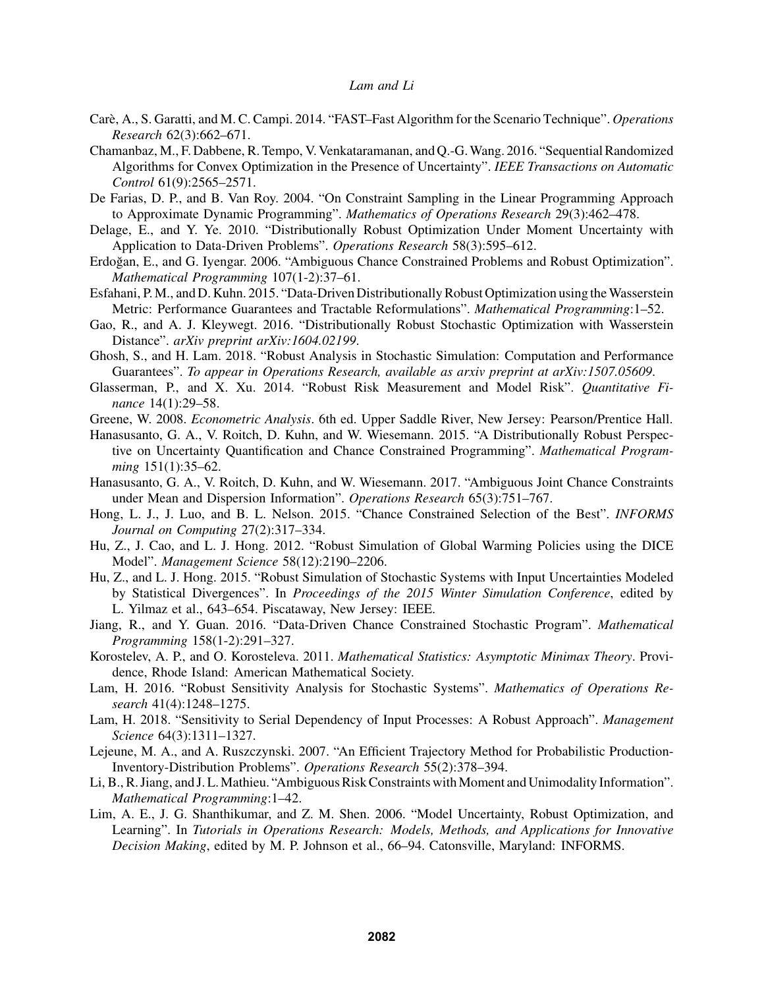- Care, A., S. Garatti, and M. C. Campi. 2014. "FAST–Fast Algorithm for the Scenario Technique". ` *Operations Research* 62(3):662–671.
- Chamanbaz, M., F. Dabbene, R. Tempo, V. Venkataramanan, and Q.-G.Wang. 2016. "Sequential Randomized Algorithms for Convex Optimization in the Presence of Uncertainty". *IEEE Transactions on Automatic Control* 61(9):2565–2571.
- De Farias, D. P., and B. Van Roy. 2004. "On Constraint Sampling in the Linear Programming Approach to Approximate Dynamic Programming". *Mathematics of Operations Research* 29(3):462–478.
- Delage, E., and Y. Ye. 2010. "Distributionally Robust Optimization Under Moment Uncertainty with Application to Data-Driven Problems". *Operations Research* 58(3):595–612.
- Erdoğan, E., and G. Iyengar. 2006. "Ambiguous Chance Constrained Problems and Robust Optimization". *Mathematical Programming* 107(1-2):37–61.
- Esfahani, P. M., and D. Kuhn. 2015. "Data-Driven Distributionally Robust Optimization using theWasserstein Metric: Performance Guarantees and Tractable Reformulations". *Mathematical Programming*:1–52.
- Gao, R., and A. J. Kleywegt. 2016. "Distributionally Robust Stochastic Optimization with Wasserstein Distance". *arXiv preprint arXiv:1604.02199*.
- Ghosh, S., and H. Lam. 2018. "Robust Analysis in Stochastic Simulation: Computation and Performance Guarantees". *To appear in Operations Research, available as arxiv preprint at arXiv:1507.05609*.
- Glasserman, P., and X. Xu. 2014. "Robust Risk Measurement and Model Risk". *Quantitative Finance* 14(1):29–58.
- Greene, W. 2008. *Econometric Analysis*. 6th ed. Upper Saddle River, New Jersey: Pearson/Prentice Hall.
- Hanasusanto, G. A., V. Roitch, D. Kuhn, and W. Wiesemann. 2015. "A Distributionally Robust Perspective on Uncertainty Quantification and Chance Constrained Programming". *Mathematical Programming* 151(1):35–62.
- Hanasusanto, G. A., V. Roitch, D. Kuhn, and W. Wiesemann. 2017. "Ambiguous Joint Chance Constraints under Mean and Dispersion Information". *Operations Research* 65(3):751–767.
- Hong, L. J., J. Luo, and B. L. Nelson. 2015. "Chance Constrained Selection of the Best". *INFORMS Journal on Computing* 27(2):317–334.
- Hu, Z., J. Cao, and L. J. Hong. 2012. "Robust Simulation of Global Warming Policies using the DICE Model". *Management Science* 58(12):2190–2206.
- Hu, Z., and L. J. Hong. 2015. "Robust Simulation of Stochastic Systems with Input Uncertainties Modeled by Statistical Divergences". In *Proceedings of the 2015 Winter Simulation Conference*, edited by L. Yilmaz et al., 643–654. Piscataway, New Jersey: IEEE.
- Jiang, R., and Y. Guan. 2016. "Data-Driven Chance Constrained Stochastic Program". *Mathematical Programming* 158(1-2):291–327.
- Korostelev, A. P., and O. Korosteleva. 2011. *Mathematical Statistics: Asymptotic Minimax Theory*. Providence, Rhode Island: American Mathematical Society.
- Lam, H. 2016. "Robust Sensitivity Analysis for Stochastic Systems". *Mathematics of Operations Research* 41(4):1248–1275.
- Lam, H. 2018. "Sensitivity to Serial Dependency of Input Processes: A Robust Approach". *Management Science* 64(3):1311–1327.
- Lejeune, M. A., and A. Ruszczynski. 2007. "An Efficient Trajectory Method for Probabilistic Production-Inventory-Distribution Problems". *Operations Research* 55(2):378–394.
- Li, B., R. Jiang, and J. L. Mathieu. "Ambiguous Risk Constraints with Moment and Unimodality Information". *Mathematical Programming*:1–42.
- Lim, A. E., J. G. Shanthikumar, and Z. M. Shen. 2006. "Model Uncertainty, Robust Optimization, and Learning". In *Tutorials in Operations Research: Models, Methods, and Applications for Innovative Decision Making*, edited by M. P. Johnson et al., 66–94. Catonsville, Maryland: INFORMS.